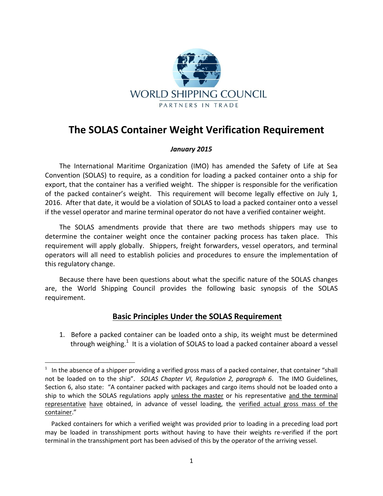

## **The SOLAS Container Weight Verification Requirement**

## *January 2015*

The International Maritime Organization (IMO) has amended the Safety of Life at Sea Convention (SOLAS) to require, as a condition for loading a packed container onto a ship for export, that the container has a verified weight. The shipper is responsible for the verification of the packed container's weight. This requirement will become legally effective on July 1, 2016. After that date, it would be a violation of SOLAS to load a packed container onto a vessel if the vessel operator and marine terminal operator do not have a verified container weight.

The SOLAS amendments provide that there are two methods shippers may use to determine the container weight once the container packing process has taken place. This requirement will apply globally. Shippers, freight forwarders, vessel operators, and terminal operators will all need to establish policies and procedures to ensure the implementation of this regulatory change.

Because there have been questions about what the specific nature of the SOLAS changes are, the World Shipping Council provides the following basic synopsis of the SOLAS requirement.

## **Basic Principles Under the SOLAS Requirement**

1. Before a packed container can be loaded onto a ship, its weight must be determined through weighing.<sup>1</sup> It is a violation of SOLAS to load a packed container aboard a vessel

 $\overline{\phantom{a}}$ 

 $1$  In the absence of a shipper providing a verified gross mass of a packed container, that container "shall not be loaded on to the ship". *SOLAS Chapter VI, Regulation 2, paragraph 6*. The IMO Guidelines, Section 6, also state: "A container packed with packages and cargo items should not be loaded onto a ship to which the SOLAS regulations apply unless the master or his representative and the terminal representative have obtained, in advance of vessel loading, the verified actual gross mass of the container."

Packed containers for which a verified weight was provided prior to loading in a preceding load port may be loaded in transshipment ports without having to have their weights re-verified if the port terminal in the transshipment port has been advised of this by the operator of the arriving vessel.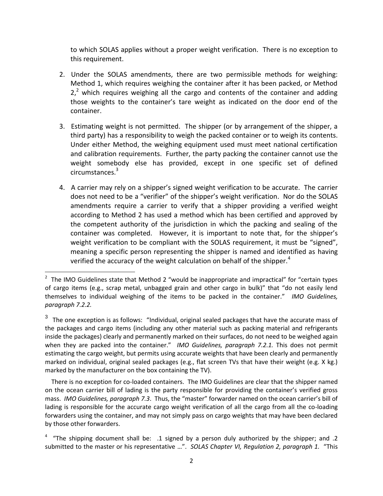to which SOLAS applies without a proper weight verification. There is no exception to this requirement.

- 2. Under the SOLAS amendments, there are two permissible methods for weighing: Method 1, which requires weighing the container after it has been packed, or Method  $2<sup>2</sup>$  which requires weighing all the cargo and contents of the container and adding those weights to the container's tare weight as indicated on the door end of the container.
- 3. Estimating weight is not permitted. The shipper (or by arrangement of the shipper, a third party) has a responsibility to weigh the packed container or to weigh its contents. Under either Method, the weighing equipment used must meet national certification and calibration requirements. Further, the party packing the container cannot use the weight somebody else has provided, except in one specific set of defined circumstances. 3
- 4. A carrier may rely on a shipper's signed weight verification to be accurate. The carrier does not need to be a "verifier" of the shipper's weight verification. Nor do the SOLAS amendments require a carrier to verify that a shipper providing a verified weight according to Method 2 has used a method which has been certified and approved by the competent authority of the jurisdiction in which the packing and sealing of the container was completed. However, it is important to note that, for the shipper's weight verification to be compliant with the SOLAS requirement, it must be "signed", meaning a specific person representing the shipper is named and identified as having verified the accuracy of the weight calculation on behalf of the shipper.<sup>4</sup>

 $\overline{\phantom{a}}$ 

 There is no exception for co-loaded containers. The IMO Guidelines are clear that the shipper named on the ocean carrier bill of lading is the party responsible for providing the container's verified gross mass. *IMO Guidelines, paragraph 7.3*. Thus, the "master" forwarder named on the ocean carrier's bill of lading is responsible for the accurate cargo weight verification of all the cargo from all the co-loading forwarders using the container, and may not simply pass on cargo weights that may have been declared by those other forwarders.

 $2$  The IMO Guidelines state that Method 2 "would be inappropriate and impractical" for "certain types of cargo items (e.g., scrap metal, unbagged grain and other cargo in bulk)" that "do not easily lend themselves to individual weighing of the items to be packed in the container." *IMO Guidelines, paragraph 7.2.2.*

 $^3$  The one exception is as follows: "Individual, original sealed packages that have the accurate mass of the packages and cargo items (including any other material such as packing material and refrigerants inside the packages) clearly and permanently marked on their surfaces, do not need to be weighed again when they are packed into the container." *IMO Guidelines, paragraph 7.2.1.* This does not permit estimating the cargo weight, but permits using accurate weights that have been clearly and permanently marked on individual, original sealed packages (e.g., flat screen TVs that have their weight (e.g. X kg.) marked by the manufacturer on the box containing the TV).

<sup>4</sup> "The shipping document shall be: .1 signed by a person duly authorized by the shipper; and .2 submitted to the master or his representative …". *SOLAS Chapter VI, Regulation 2, paragraph 1.* "This